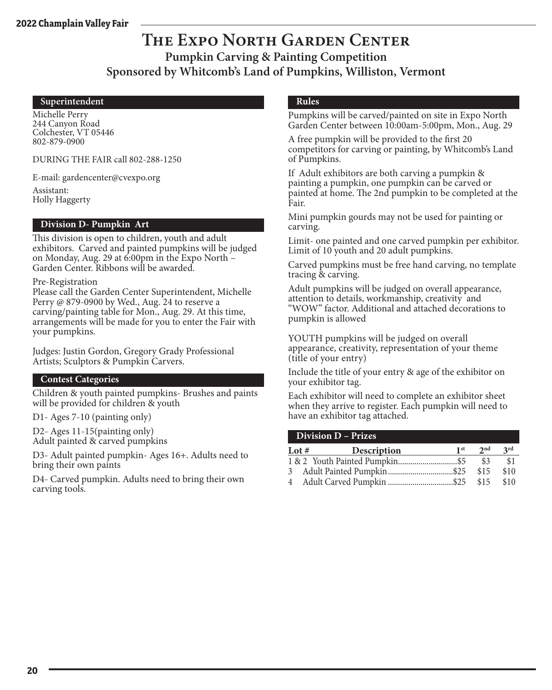### **The Expo North Garden Center Pumpkin Carving & Painting Competition Sponsored by Whitcomb's Land of Pumpkins, Williston, Vermont**

#### **Superintendent**

Michelle Perry 244 Canyon Road Colchester, VT 05446 802-879-0900

DURING THE FAIR call 802-288-1250

E-mail: gardencenter@cvexpo.org

Assistant: Holly Haggerty

#### **Division D- Pumpkin Art**

This division is open to children, youth and adult exhibitors. Carved and painted pumpkins will be judged on Monday, Aug. 29 at 6:00pm in the Expo North – Garden Center. Ribbons will be awarded.

Pre-Registration

Please call the Garden Center Superintendent, Michelle Perry @ 879-0900 by Wed., Aug. 24 to reserve a carving/painting table for Mon., Aug. 29. At this time, arrangements will be made for you to enter the Fair with your pumpkins.

Judges: Justin Gordon, Gregory Grady Professional Artists; Sculptors & Pumpkin Carvers.

#### **Contest Categories**

Children & youth painted pumpkins- Brushes and paints will be provided for children & youth

D1- Ages 7-10 (painting only)

D2- Ages 11-15(painting only) Adult painted & carved pumpkins

D3- Adult painted pumpkin- Ages 16+. Adults need to bring their own paints

D4- Carved pumpkin. Adults need to bring their own carving tools.

#### **Rules**

Pumpkins will be carved/painted on site in Expo North Garden Center between 10:00am-5:00pm, Mon., Aug. 29

A free pumpkin will be provided to the first 20 competitors for carving or painting, by Whitcomb's Land of Pumpkins.

If Adult exhibitors are both carving a pumpkin & painting a pumpkin, one pumpkin can be carved or painted at home. The 2nd pumpkin to be completed at the Fair.

Mini pumpkin gourds may not be used for painting or carving.

Limit- one painted and one carved pumpkin per exhibitor. Limit of 10 youth and 20 adult pumpkins.

Carved pumpkins must be free hand carving, no template tracing & carving.

Adult pumpkins will be judged on overall appearance, attention to details, workmanship, creativity and "WOW" factor. Additional and attached decorations to pumpkin is allowed

YOUTH pumpkins will be judged on overall appearance, creativity, representation of your theme (title of your entry)

Include the title of your entry & age of the exhibitor on your exhibitor tag.

Each exhibitor will need to complete an exhibitor sheet when they arrive to register. Each pumpkin will need to have an exhibitor tag attached.

#### **Division D – Prizes**

| Lot $#$ | Description | 1 st | $2^{\text{nd}}$ | 2rd  |
|---------|-------------|------|-----------------|------|
|         |             |      | \$3             | -\$1 |
|         |             |      | \$15            | \$10 |
|         |             |      |                 | \$10 |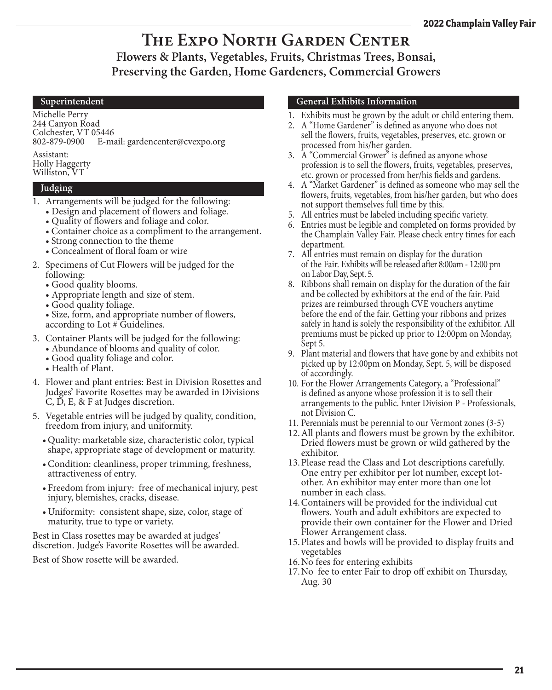### **The Expo North Garden Center Flowers & Plants, Vegetables, Fruits, Christmas Trees, Bonsai, Preserving the Garden, Home Gardeners, Commercial Growers**

#### **Superintendent**

Michelle Perry 244 Canyon Road Colchester, VT 05446 802-879-0900 E-mail: gardencenter@cvexpo.org

Assistant: Holly Haggerty Williston, VT

#### **Judging**

- 1. Arrangements will be judged for the following:
	- Design and placement of flowers and foliage.
	- Quality of flowers and foliage and color.
	- Container choice as a compliment to the arrangement.
	- Strong connection to the theme
	- Concealment of floral foam or wire
- 2. Specimens of Cut Flowers will be judged for the following:
	- Good quality blooms.
	- Appropriate length and size of stem.
	- Good quality foliage.

• Size, form, and appropriate number of flowers, according to Lot # Guidelines.

- 3. Container Plants will be judged for the following:
	- Abundance of blooms and quality of color.
	- Good quality foliage and color.
	- Health of Plant.
- 4. Flower and plant entries: Best in Division Rosettes and Judges' Favorite Rosettes may be awarded in Divisions C, D, E, & F at Judges discretion.
- 5. Vegetable entries will be judged by quality, condition, freedom from injury, and uniformity.
	- Quality: marketable size, characteristic color, typical shape, appropriate stage of development or maturity.
	- •Condition: cleanliness, proper trimming, freshness, attractiveness of entry.
	- Freedom from injury: free of mechanical injury, pest injury, blemishes, cracks, disease.
	- Uniformity: consistent shape, size, color, stage of maturity, true to type or variety.

Best in Class rosettes may be awarded at judges' discretion. Judge's Favorite Rosettes will be awarded.

Best of Show rosette will be awarded.

#### **General Exhibits Information**

- 1. Exhibits must be grown by the adult or child entering them.
- 2. A "Home Gardener" is defined as anyone who does not sell the flowers, fruits, vegetables, preserves, etc. grown or processed from his/her garden.
- 3. A "Commercial Grower" is defined as anyone whose profession is to sell the flowers, fruits, vegetables, preserves, etc. grown or processed from her/his fields and gardens.
- 4. A "Market Gardener" is defined as someone who may sell the flowers, fruits, vegetables, from his/her garden, but who does not support themselves full time by this.
- 5. All entries must be labeled including specific variety.
- 6. Entries must be legible and completed on forms provided by the Champlain Valley Fair. Please check entry times for each department.
- 7. All entries must remain on display for the duration of the Fair. Exhibits will be released after 8:00am - 12:00 pm on Labor Day, Sept. 5.
- 8. Ribbons shall remain on display for the duration of the fair and be collected by exhibitors at the end of the fair. Paid prizes are reimbursed through CVE vouchers anytime before the end of the fair. Getting your ribbons and prizes safely in hand is solely the responsibility of the exhibitor. All premiums must be picked up prior to 12:00pm on Monday, Sept 5.
- 9. Plant material and flowers that have gone by and exhibits not picked up by 12:00pm on Monday, Sept. 5, will be disposed of accordingly.
- 10. For the Flower Arrangements Category, a "Professional" is defined as anyone whose profession it is to sell their arrangements to the public. Enter Division P - Professionals, not Division C.
- 11. Perennials must be perennial to our Vermont zones (3-5)
- 12.All plants and flowers must be grown by the exhibitor. Dried flowers must be grown or wild gathered by the exhibitor.
- 13.Please read the Class and Lot descriptions carefully. One entry per exhibitor per lot number, except lotother. An exhibitor may enter more than one lot number in each class.
- 14.Containers will be provided for the individual cut flowers. Youth and adult exhibitors are expected to provide their own container for the Flower and Dried Flower Arrangement class.
- 15.Plates and bowls will be provided to display fruits and vegetables
- 16.No fees for entering exhibits
- 17.No fee to enter Fair to drop off exhibit on Thursday, Aug. 30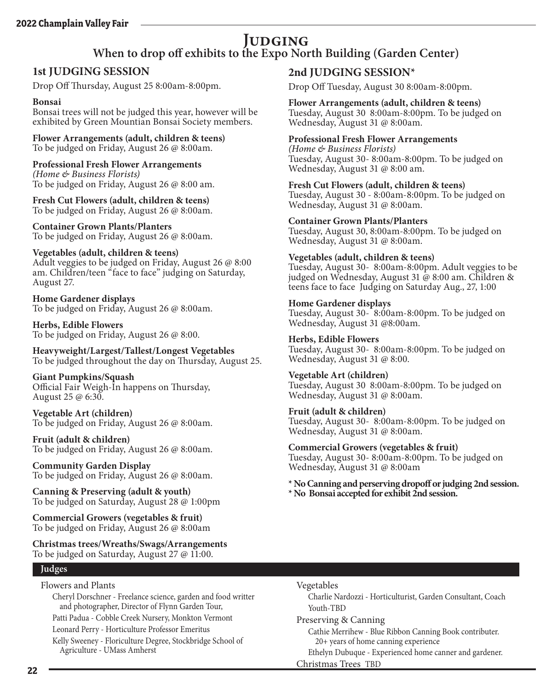# **JUDGING**<br>When to drop off exhibits to the Expo North Building (Garden Center)

### **1st JUDGING SESSION**

Drop Off Thursday, August 25 8:00am-8:00pm.

#### **Bonsai**

Bonsai trees will not be judged this year, however will be exhibited by Green Mountian Bonsai Society members.

**Flower Arrangements (adult, children & teens)** To be judged on Friday, August 26 @ 8:00am.

**Professional Fresh Flower Arrangements** *(Home & Business Florists)* To be judged on Friday, August 26 @ 8:00 am.

**Fresh Cut Flowers (adult, children & teens)** To be judged on Friday, August 26 @ 8:00am.

**Container Grown Plants/Planters** To be judged on Friday, August 26 @ 8:00am.

#### **Vegetables (adult, children & teens)**

Adult veggies to be judged on Friday, August 26 @ 8:00 am. Children/teen "face to face" judging on Saturday, August 27.

**Home Gardener displays** To be judged on Friday, August 26 @ 8:00am.

**Herbs, Edible Flowers** To be judged on Friday, August 26 @ 8:00.

**Heavyweight/Largest/Tallest/Longest Vegetables** To be judged throughout the day on Thursday, August 25.

#### **Giant Pumpkins/Squash** Official Fair Weigh-In happens on Thursday,

August 25 @ 6:30.

**Vegetable Art (children)** To be judged on Friday, August 26 @ 8:00am.

**Fruit (adult & children)** To be judged on Friday, August 26 @ 8:00am.

**Community Garden Display** To be judged on Friday, August 26 @ 8:00am.

**Canning & Preserving (adult & youth)** To be judged on Saturday, August 28 @ 1:00pm

**Commercial Growers (vegetables & fruit)** To be judged on Friday, August 26 @ 8:00am

**Christmas trees/Wreaths/Swags/Arrangements** To be judged on Saturday, August 27 @ 11:00.

#### **Judges**

Flowers and Plants

Cheryl Dorschner - Freelance science, garden and food writter and photographer, Director of Flynn Garden Tour, Patti Padua - Cobble Creek Nursery, Monkton Vermont

Leonard Perry - Horticulture Professor Emeritus

Kelly Sweeney - Floriculture Degree, Stockbridge School of Agriculture - UMass Amherst

#### **2nd JUDGING SESSION\***

Drop Off Tuesday, August 30 8:00am-8:00pm.

#### **Flower Arrangements (adult, children & teens)**

Tuesday, August 30 8:00am-8:00pm. To be judged on Wednesday, August 31 @ 8:00am.

#### **Professional Fresh Flower Arrangements**

*(Home & Business Florists)* Tuesday, August 30- 8:00am-8:00pm. To be judged on Wednesday, August 31 @ 8:00 am.

**Fresh Cut Flowers (adult, children & teens)** Tuesday, August 30 - 8:00am-8:00pm. To be judged on Wednesday, August 31 @ 8:00am.

#### **Container Grown Plants/Planters**

Tuesday, August 30, 8:00am-8:00pm. To be judged on Wednesday, August 31 @ 8:00am.

#### **Vegetables (adult, children & teens)**

Tuesday, August 30- 8:00am-8:00pm. Adult veggies to be judged on Wednesday, August 31 @ 8:00 am. Children & teens face to face Judging on Saturday Aug., 27, 1:00

#### **Home Gardener displays**

Tuesday, August 30- 8:00am-8:00pm. To be judged on Wednesday, August 31 @8:00am.

#### **Herbs, Edible Flowers**

Tuesday, August 30- 8:00am-8:00pm. To be judged on Wednesday, August 31 @ 8:00.

### **Vegetable Art (children)**

Tuesday, August 30 8:00am-8:00pm. To be judged on Wednesday, August 31 @ 8:00am.

#### **Fruit (adult & children)**

Tuesday, August 30- 8:00am-8:00pm. To be judged on Wednesday, August 31 @ 8:00am.

**Commercial Growers (vegetables & fruit)** Tuesday, August 30- 8:00am-8:00pm. To be judged on Wednesday, August 31 @ 8:00am

**\* No Canning and perserving dropoff or judging 2nd session. \* No Bonsai accepted for exhibit 2nd session.**

#### Vegetables

Charlie Nardozzi - Horticulturist, Garden Consultant, Coach Youth-TBD

Preserving & Canning

Cathie Merrihew - Blue Ribbon Canning Book contributer. 20+ years of home canning experience

Ethelyn Dubuque - Experienced home canner and gardener. Christmas Trees TBD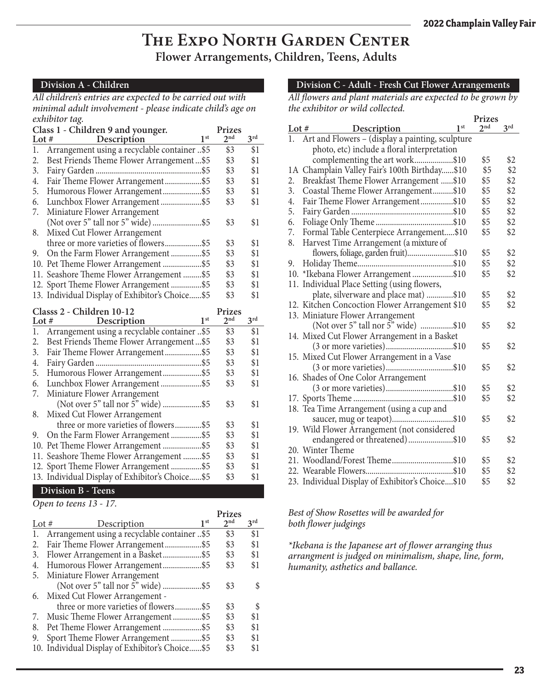### **The Expo North Garden Center Flower Arrangements, Children, Teens, Adults**

#### **Division A - Children**

*All children's entries are expected to be carried out with minimal adult involvement - please indicate child's age on exhibitor tag.*

|         | Class 1 - Children 9 and younger.                | <b>Prizes</b>   |                 |
|---------|--------------------------------------------------|-----------------|-----------------|
| Lot $#$ | 1 <sup>st</sup><br>Description                   | 2 <sup>nd</sup> | 3 <sup>rd</sup> |
| 1.      | Arrangement using a recyclable container \$5     | \$3             | \$1             |
| 2.      | Best Friends Theme Flower Arrangement\$5         | \$3             | \$1             |
| 3.      |                                                  | \$3             | \$1             |
| 4.      | Fair Theme Flower Arrangement\$5                 | \$3             | \$1             |
| 5.      | Humorous Flower Arrangement\$5                   | \$3             | \$1             |
| 6.      | Lunchbox Flower Arrangement\$5                   | \$3             | \$1             |
| 7.      | Miniature Flower Arrangement                     |                 |                 |
|         |                                                  | \$3             | \$1             |
| 8.      | Mixed Cut Flower Arrangement                     |                 |                 |
|         | three or more varieties of flowers\$5            | \$3             | \$1             |
| 9.      | On the Farm Flower Arrangement \$5               | \$3             | \$1             |
|         | 10. Pet Theme Flower Arrangement \$5             | \$3             | \$1             |
|         | 11. Seashore Theme Flower Arrangement  \$5       | \$3             | \$1             |
|         | 12. Sport Theme Flower Arrangement \$5           | \$3             | \$1             |
|         | 13. Individual Display of Exhibitor's Choice \$5 | \$3             | \$1             |
|         | Classs 2 - Children 10-12                        | <b>Prizes</b>   |                 |
|         | 1 <sup>st</sup><br>Lot $#$ Description           | 2 <sup>nd</sup> | 3 <sup>rd</sup> |
| 1.      | Arrangement using a recyclable container \$5     | \$3             | \$1             |
| 2.      | Best Friends Theme Flower Arrangement\$5         | \$3             | \$1             |
| 3.      | Fair Theme Flower Arrangement\$5                 | \$3             | \$1             |
| 4.      |                                                  | \$3             | \$1             |
| 5.      | Humorous Flower Arrangement\$5                   | \$3             | \$1             |
| 6.      |                                                  | \$3             | \$1             |
| 7.      | Miniature Flower Arrangement                     |                 |                 |

| \$1 |
|-----|
| \$1 |
| \$1 |
| \$1 |
| \$1 |
| \$1 |
|     |

#### **Division B - Teens**

#### *Open to teens 13 - 17.*

| Lot $#$ | 1 <sup>st</sup><br>Description                   | Prizes<br>2 <sup>nd</sup> | 3 <sup>rd</sup> |
|---------|--------------------------------------------------|---------------------------|-----------------|
| 1.      | Arrangement using a recyclable container \$5     | \$3                       | \$1             |
| 2.      | Fair Theme Flower Arrangement\$5                 | \$3                       | \$1             |
| 3.      | Flower Arrangement in a Basket\$5                | \$3                       | \$1             |
| 4.      | Humorous Flower Arrangement\$5                   | \$3                       | \$1             |
| 5.      | Miniature Flower Arrangement                     |                           |                 |
|         |                                                  | \$3                       |                 |
| 6.      | Mixed Cut Flower Arrangement -                   |                           |                 |
|         | three or more varieties of flowers\$5            | \$3                       |                 |
| 7.      | Music Theme Flower Arrangement\$5                | \$3                       | \$1             |
| 8.      | Pet Theme Flower Arrangement \$5                 | \$3                       | \$1             |
| 9.      | Sport Theme Flower Arrangement \$5               | \$3                       | \$1             |
|         | 10. Individual Display of Exhibitor's Choice \$5 | \$3                       | \$1             |

#### **Division C - Adult - Fresh Cut Flower Arrangements**

*All flowers and plant materials are expected to be grown by the exhibitor or wild collected.*  $\mathbf{p}$ .

|         |                                                  | <b>Prizes</b>   |     |
|---------|--------------------------------------------------|-----------------|-----|
| Lot $#$ | 1 <sup>st</sup><br>Description                   | 2 <sub>nd</sub> | 3rd |
| 1.      | Art and Flowers - (display a painting, sculpture |                 |     |
|         | photo, etc) include a floral interpretation      |                 |     |
|         | complementing the art work\$10                   | \$5             | \$2 |
|         | 1A Champlain Valley Fair's 100th Birthday\$10    | \$5             | \$2 |
| 2.      | Breakfast Theme Flower Arrangement \$10          | \$5             | \$2 |
| 3.      | Coastal Theme Flower Arrangement\$10             | \$5             | \$2 |
| 4.      | Fair Theme Flower Arrangement\$10                | \$5             | \$2 |
| 5.      |                                                  | \$5             | \$2 |
| 6.      |                                                  | \$5             | \$2 |
| 7.      | Formal Table Centerpiece Arrangement\$10         | \$5             | \$2 |
| 8.      | Harvest Time Arrangement (a mixture of           |                 |     |
|         | flowers, foliage, garden fruit)\$10              | \$5             | \$2 |
| 9.      |                                                  | \$5             | \$2 |
|         | 10. *Ikebana Flower Arrangement\$10              | \$5             | \$2 |
|         | 11. Individual Place Setting (using flowers,     |                 |     |
|         | plate, silverware and place mat) \$10            | \$5             | \$2 |
|         | 12. Kitchen Concoction Flower Arrangement \$10   | \$5             | \$2 |
|         | 13. Miniature Flower Arrangement                 |                 |     |
|         | (Not over 5" tall nor 5" wide) \$10              | \$5             | \$2 |
|         | 14. Mixed Cut Flower Arrangement in a Basket     |                 |     |
|         | (3 or more varieties)\$10                        | \$5             | \$2 |
|         | 15. Mixed Cut Flower Arrangement in a Vase       |                 |     |
|         |                                                  | \$5             | \$2 |
|         | 16. Shades of One Color Arrangement              |                 |     |
|         |                                                  | \$5             | \$2 |
|         |                                                  | \$5             | \$2 |
|         | 18. Tea Time Arrangement (using a cup and        |                 |     |
|         | saucer, mug or teapot)\$10                       | \$5             | \$2 |
|         | 19. Wild Flower Arrangement (not considered      |                 |     |
|         | endangered or threatened)\$10                    | \$5             | \$2 |
|         | 20. Winter Theme                                 |                 |     |
|         | 21. Woodland/Forest Theme\$10                    | \$5             | \$2 |
|         |                                                  | \$5             | \$2 |
|         | 23. Individual Display of Exhibitor's Choice\$10 | \$5             | \$2 |

#### *Best of Show Rosettes will be awarded for both flower judgings*

*\*Ikebana is the Japanese art of flower arranging thus arrangment is judged on minimalism, shape, line, form, humanity, asthetics and ballance.*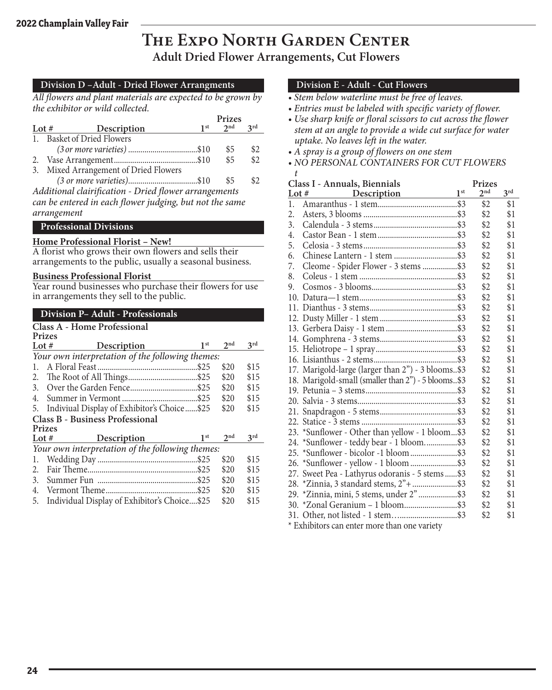### **The Expo North Garden Center Adult Dried Flower Arrangements, Cut Flowers**

*t*

#### **Division D –Adult - Dried Flower Arrangments**

*All flowers and plant materials are expected to be grown by the exhibitor or wild collected.*

|         |                                       | Prizes    |     |
|---------|---------------------------------------|-----------|-----|
| Lot $#$ | Description                           | $1st$ 2nd | 2rd |
|         | 1. Basket of Dried Flowers            |           |     |
|         |                                       | \$5       | \$2 |
|         |                                       | \$5       | \$2 |
|         | 3. Mixed Arrangement of Dried Flowers |           |     |
|         | $(3 \text{ or more varieties})$ \$10  | \$5       | \$2 |
|         |                                       |           |     |

*Additional clairification - Dried flower arrangements can be entered in each flower judging, but not the same arrangement*

#### **Professional Divisions**

#### **Home Professional Florist – New!**

A florist who grows their own flowers and sells their arrangements to the public, usually a seasonal business.

#### **Business Professional Florist**

Year round businesses who purchase their flowers for use in arrangements they sell to the public.

|               | <b>Division P- Adult - Professionals</b>         |                 |                 |  |  |  |  |
|---------------|--------------------------------------------------|-----------------|-----------------|--|--|--|--|
|               | Class A - Home Professional                      |                 |                 |  |  |  |  |
| <b>Prizes</b> |                                                  |                 |                 |  |  |  |  |
| Lot $#$       | 1 <sup>st</sup><br>Description                   | 2 <sub>nd</sub> | 3rd             |  |  |  |  |
|               | Your own interpretation of the following themes: |                 |                 |  |  |  |  |
| 1.            |                                                  | \$20            | \$15            |  |  |  |  |
| 2.            |                                                  | \$20            | \$15            |  |  |  |  |
|               |                                                  | \$20            | \$15            |  |  |  |  |
| 4.            |                                                  | \$20            | \$15            |  |  |  |  |
| 5.            | Indiviual Display of Exhibitor's Choice\$25      | \$20            | \$15            |  |  |  |  |
|               | <b>Class B - Business Professional</b>           |                 |                 |  |  |  |  |
| <b>Prizes</b> |                                                  |                 |                 |  |  |  |  |
| Lot $#$       | 1 <sup>st</sup><br><b>Description</b>            | 2 <sup>nd</sup> | 3 <sup>rd</sup> |  |  |  |  |
|               | Your own interpretation of the following themes: |                 |                 |  |  |  |  |
| 1.            |                                                  | \$20            | \$15            |  |  |  |  |
| 2.            |                                                  | \$20            | \$15            |  |  |  |  |
| 3.            |                                                  | \$20            | \$15            |  |  |  |  |
| 4.            |                                                  | \$20            | \$15            |  |  |  |  |
| 5.            | Individual Display of Exhibitor's Choice\$25     | \$20            | \$15            |  |  |  |  |

#### **Division E - Adult - Cut Flowers**

- *Stem below waterline must be free of leaves.*
- *Entries must be labeled with specific variety of flower.*
- *Use sharp knife or floral scissors to cut across the flower stem at an angle to provide a wide cut surface for water uptake. No leaves left in the water.*
- *A spray is a group of flowers on one stem*
- *NO PERSONAL CONTAINERS FOR CUT FLOWERS*

|       | Class I - Annuals, Biennials                       | <b>Prizes</b>   |                 |
|-------|----------------------------------------------------|-----------------|-----------------|
| Lot # | 1 <sup>st</sup><br>Description                     | 2 <sup>nd</sup> | 3 <sup>rd</sup> |
| 1.    |                                                    | \$2             | \$1             |
| 2.    |                                                    | \$2             | \$1             |
| 3.    |                                                    | \$2             | \$1             |
| 4.    |                                                    | \$2             | \$1             |
| 5.    |                                                    | \$2             | \$1             |
| 6.    |                                                    | \$2             | \$1             |
| 7.    | Cleome - Spider Flower - 3 stems \$3               | \$2             | \$1             |
| 8.    |                                                    | \$2             | \$1             |
| 9.    |                                                    | \$2             | \$1             |
|       |                                                    | \$2             | \$1             |
|       |                                                    | \$2             | \$1             |
|       |                                                    | \$2             | \$1             |
|       |                                                    | \$2             | \$1             |
|       |                                                    | \$2             | \$1             |
|       |                                                    | \$2             | \$1             |
|       |                                                    | \$2             | \$1             |
|       | 17. Marigold-large (larger than 2") - 3 blooms\$3  | \$2             | \$1             |
|       | 18. Marigold-small (smaller than 2") - 5 blooms\$3 | \$2             | \$1             |
|       |                                                    | \$2             | \$1             |
|       |                                                    | \$2             | \$1             |
|       |                                                    | \$2             | \$1             |
|       |                                                    | \$2             | \$1             |
|       | 23. *Sunflower - Other than yellow - 1 bloom\$3    | \$2             | \$1             |
|       | 24. *Sunflower - teddy bear - 1 bloom\$3           | \$2             | \$1             |
|       |                                                    | \$2             | \$1             |
|       | 26. *Sunflower - yellow - 1 bloom \$3              | \$2             | \$1             |
|       | 27. Sweet Pea - Lathyrus odoranis - 5 stems\$3     | \$2             | \$1             |
|       | 28. *Zinnia, 3 standard stems, 2"+ \$3             | \$2             | \$1             |
|       | 29. * Zinnia, mini, 5 stems, under 2" \$3          | \$2             | \$1             |
|       | 30. *Zonal Geranium – 1 bloom\$3                   | \$2             | \$1             |
|       |                                                    | \$2             | \$1             |

\* Exhibitors can enter more than one variety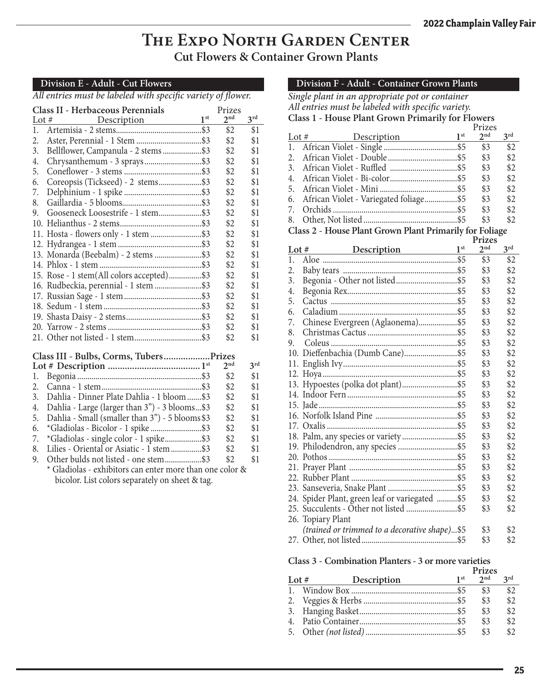### **The Expo North Garden Center Cut Flowers & Container Grown Plants**

#### **Division E - Adult - Cut Flowers**

*All entries must be labeled with specific variety of flower.*

| Class II - Herbaceous Perennials |                                           |                 |                 |                 |
|----------------------------------|-------------------------------------------|-----------------|-----------------|-----------------|
| Lot $#$                          | Description                               | 1 <sup>st</sup> | 2 <sub>nd</sub> | $3^{\text{rd}}$ |
| 1.                               |                                           |                 | \$2             | \$1             |
| 2.                               | Aster, Perennial - 1 Stem \$3             |                 | \$2             | \$1             |
| 3.                               | Bellflower, Campanula - 2 stems\$3        |                 | \$2             | \$1             |
| 4.                               | Chrysanthemum - 3 sprays\$3               |                 | \$2             | \$1             |
| 5.                               |                                           |                 | \$2             | \$1             |
| 6.                               | Coreopsis (Tickseed) - 2 stems\$3         |                 | \$2             | \$1             |
| 7.                               |                                           |                 | \$2             | \$1             |
| 8.                               |                                           |                 | \$2             | \$1             |
| 9.                               | Gooseneck Loosestrife - 1 stem\$3         |                 | \$2             | \$1             |
|                                  |                                           |                 | \$2             | \$1             |
|                                  | 11. Hosta - flowers only - 1 stem \$3     |                 | \$2             | \$1             |
|                                  |                                           |                 | \$2             | \$1             |
|                                  | 13. Monarda (Beebalm) - 2 stems \$3       |                 | \$2             | \$1             |
|                                  |                                           |                 | \$2             | \$1             |
|                                  | 15. Rose - 1 stem(All colors accepted)\$3 |                 | \$2             | \$1             |
|                                  | 16. Rudbeckia, perennial - 1 stem \$3     |                 | \$2             | \$1             |
|                                  |                                           |                 | \$2             | \$1             |
|                                  |                                           |                 | \$2             | \$1             |
|                                  |                                           |                 | \$2             | \$1             |
|                                  |                                           |                 | \$2             | \$1             |
|                                  |                                           |                 | \$2             | \$1             |

#### **Class III - Bulbs, Corms, Tubers...................Prizes**

|    |                                                          | 2nd | 2rd |
|----|----------------------------------------------------------|-----|-----|
|    |                                                          | \$2 | \$1 |
|    |                                                          | \$2 | \$1 |
|    | 3. Dahlia - Dinner Plate Dahlia - 1 bloom \$3            | \$2 | \$1 |
|    | 4. Dahlia - Large (larger than 3") - 3 blooms\$3         | \$2 | \$1 |
|    | 5. Dahlia - Small (smaller than 3") - 5 blooms \$3       | \$2 | \$1 |
|    |                                                          | \$2 | \$1 |
|    | 7. *Gladiolas - single color - 1 spike\$3                | \$2 | \$1 |
| 8. | Lilies - Oriental or Asiatic - 1 stem\$3                 | \$2 | \$1 |
|    | 9. Other bulds not listed - one stem\$3                  | \$2 | \$1 |
|    | * Gladiolas - exhibitors can enter more than one color & |     |     |

bicolor. List colors separately on sheet & tag.

#### **Division F - Adult - Container Grown Plants**

| Single plant in an appropriate pot or container |                                                         |                 |                 |                 |  |  |
|-------------------------------------------------|---------------------------------------------------------|-----------------|-----------------|-----------------|--|--|
|                                                 | All entries must be labeled with specific variety.      |                 |                 |                 |  |  |
|                                                 | Class 1 - House Plant Grown Primarily for Flowers       |                 |                 |                 |  |  |
|                                                 |                                                         |                 | Prizes          |                 |  |  |
| Lot #                                           | Description                                             | 1 <sup>st</sup> | 2 <sup>nd</sup> | 3 <sup>rd</sup> |  |  |
| 1.                                              |                                                         |                 | \$3             | \$2             |  |  |
| 2.                                              |                                                         |                 | \$3             | \$2             |  |  |
| 3.                                              |                                                         |                 | \$3             | \$2             |  |  |
| 4.                                              |                                                         |                 | \$3             | \$2             |  |  |
| 5.                                              |                                                         |                 | \$3             | \$2             |  |  |
| 6.                                              | African Violet - Variegated foliage\$5                  |                 | \$3             | \$2             |  |  |
| 7.                                              |                                                         |                 | \$3             | \$2             |  |  |
| 8.                                              |                                                         |                 | \$3             | \$2             |  |  |
|                                                 | Class 2 - House Plant Grown Plant Primarily for Foliage |                 |                 |                 |  |  |
|                                                 |                                                         |                 | <b>Prizes</b>   |                 |  |  |
| Lot $#$                                         | Description 1st                                         |                 | 2 <sup>nd</sup> | 3 <sup>rd</sup> |  |  |
| 1.                                              |                                                         |                 | \$3             | \$2             |  |  |
| 2.                                              |                                                         |                 | \$3             | \$2             |  |  |
| 3.                                              |                                                         |                 | \$3             | \$2             |  |  |
| 4.                                              |                                                         |                 | \$3             | \$2             |  |  |
| 5.                                              |                                                         |                 | \$3             | \$2             |  |  |
| 6.                                              |                                                         |                 | \$3             | \$2             |  |  |
| 7.                                              | Chinese Evergreen (Aglaonema)\$5                        |                 | \$3             | \$2             |  |  |
| 8.                                              |                                                         |                 | \$3             | \$2             |  |  |
| 9.                                              |                                                         |                 | \$3             | \$2             |  |  |
|                                                 |                                                         |                 | \$3             | \$2             |  |  |
|                                                 |                                                         |                 | \$3             | \$2             |  |  |
|                                                 |                                                         |                 | \$3             | \$2             |  |  |
|                                                 |                                                         |                 | \$3             | \$2             |  |  |
|                                                 |                                                         |                 | \$3             | \$2             |  |  |
|                                                 |                                                         |                 |                 |                 |  |  |
|                                                 |                                                         |                 | \$3             | \$2             |  |  |
|                                                 |                                                         |                 | \$3             | \$2             |  |  |
|                                                 |                                                         |                 | \$3             | \$2             |  |  |
|                                                 | 18. Palm, any species or variety \$5                    |                 | \$3             | \$2             |  |  |
|                                                 |                                                         |                 | \$3             | \$2             |  |  |
|                                                 |                                                         |                 | \$3             | \$2             |  |  |
|                                                 |                                                         |                 | \$3             | \$2             |  |  |
|                                                 |                                                         |                 | \$3             | \$2             |  |  |
|                                                 |                                                         |                 | \$3             | \$2             |  |  |
|                                                 | 24. Spider Plant, green leaf or variegated  \$5         |                 | \$3             | \$2             |  |  |
|                                                 |                                                         |                 | \$3             | \$2             |  |  |
|                                                 | 26. Topiary Plant                                       |                 |                 |                 |  |  |
|                                                 | (trained or trimmed to a decorative shape)\$5           |                 | \$3             | \$2             |  |  |
|                                                 |                                                         |                 | \$3             | \$2             |  |  |

#### **Class 3 - Combination Planters - 3 or more varieties Prizes**

|                   |        | e i i les |          |
|-------------------|--------|-----------|----------|
| Lot # Description | $1$ st | $2^{nd}$  | $2^{rd}$ |
|                   |        | \$3       | \$2      |
|                   |        | \$3       | \$2      |
|                   |        | \$3       | \$2      |
|                   |        | \$3       | \$2      |
|                   |        | \$3       | \$2      |
|                   |        |           |          |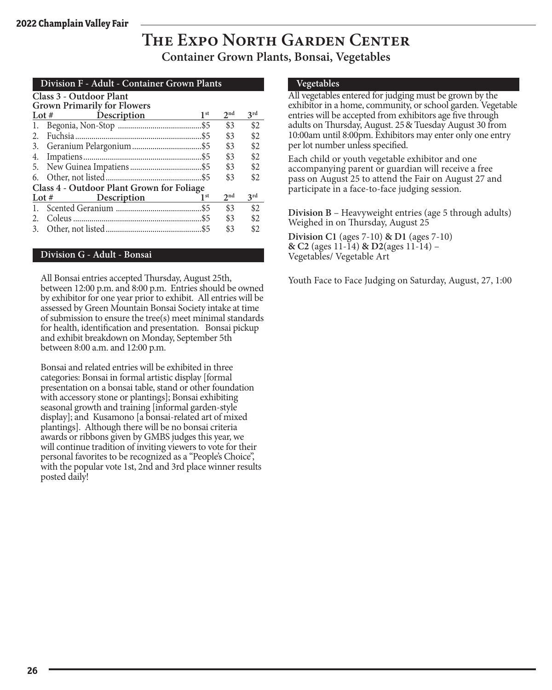### **The Expo North Garden Center Container Grown Plants, Bonsai, Vegetables**

#### **Division F - Adult - Container Grown Plants**

|            |  | <b>Class 3 - Outdoor Plant</b> |  |
|------------|--|--------------------------------|--|
| $\sqrt{ }$ |  |                                |  |

|    | <b>Grown Primarily for Flowers</b>        |                 |                 |                 |
|----|-------------------------------------------|-----------------|-----------------|-----------------|
|    | Lot $#$ Description                       | 1 <sup>st</sup> | 2 <sup>nd</sup> | 3 <sup>rd</sup> |
| 1. |                                           |                 | \$3             | \$2             |
| 2. |                                           |                 | \$3             | \$2             |
|    |                                           |                 | \$3             | \$2             |
|    |                                           |                 | \$3             | \$2             |
|    |                                           |                 | \$3             | \$2             |
|    |                                           |                 | \$3             | \$2             |
|    | Class 4 - Outdoor Plant Grown for Foliage |                 |                 |                 |
|    | Lot # Description                         | 1 <sup>st</sup> | 2 <sup>nd</sup> | 3 <sup>rd</sup> |
| 1. |                                           |                 | \$3             | \$2             |
| 2. |                                           |                 | \$3             | \$2             |
|    |                                           |                 | \$3             | \$2             |
|    |                                           |                 |                 |                 |

#### **Division G - Adult - Bonsai**

All Bonsai entries accepted Thursday, August 25th, between 12:00 p.m. and 8:00 p.m. Entries should be owned by exhibitor for one year prior to exhibit. All entries will be assessed by Green Mountain Bonsai Society intake at time of submission to ensure the tree(s) meet minimal standards for health, identification and presentation. Bonsai pickup and exhibit breakdown on Monday, September 5th between 8:00 a.m. and 12:00 p.m.

Bonsai and related entries will be exhibited in three categories: Bonsai in formal artistic display [formal presentation on a bonsai table, stand or other foundation with accessory stone or plantings]; Bonsai exhibiting seasonal growth and training [informal garden-style display]; and Kusamono [a bonsai-related art of mixed plantings]. Although there will be no bonsai criteria awards or ribbons given by GMBS judges this year, we will continue tradition of inviting viewers to vote for their personal favorites to be recognized as a "People's Choice", with the popular vote 1st, 2nd and 3rd place winner results posted daily!

#### **Vegetables**

All vegetables entered for judging must be grown by the exhibitor in a home, community, or school garden. Vegetable entries will be accepted from exhibitors age five through adults on Thursday, August. 25& Tuesday August 30 from 10:00am until 8:00pm. Exhibitors may enter only one entry per lot number unless specified.

Each child or youth vegetable exhibitor and one accompanying parent or guardian will receive a free pass on August 25 to attend the Fair on August 27 and participate in a face-to-face judging session.

**Division B** – Heavyweight entries (age 5 through adults) Weighed in on Thursday, August 25

**Division C1** (ages 7-10) **& D1** (ages 7-10) **& C2** (ages 11-14) **& D2**(ages 11-14) – Vegetables/ Vegetable Art

Youth Face to Face Judging on Saturday, August, 27, 1:00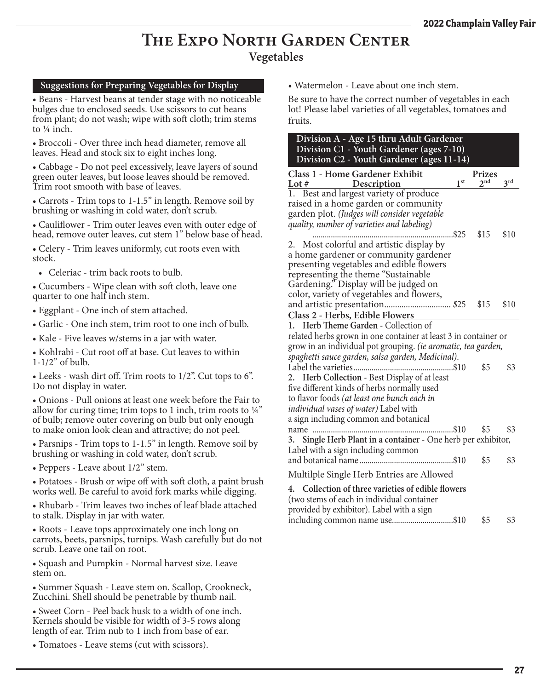### **The Expo North Garden Center Vegetables**

#### **Suggestions for Preparing Vegetables for Display**

• Beans - Harvest beans at tender stage with no noticeable bulges due to enclosed seeds. Use scissors to cut beans from plant; do not wash; wipe with soft cloth; trim stems to ¼ inch.

• Broccoli - Over three inch head diameter, remove all leaves. Head and stock six to eight inches long.

• Cabbage - Do not peel excessively, leave layers of sound green outer leaves, but loose leaves should be removed. Trim root smooth with base of leaves.

• Carrots - Trim tops to 1-1.5" in length. Remove soil by brushing or washing in cold water, don't scrub.

• Cauliflower - Trim outer leaves even with outer edge of head, remove outer leaves, cut stem 1" below base of head.

• Celery - Trim leaves uniformly, cut roots even with stock.

• Celeriac - trim back roots to bulb.

• Cucumbers - Wipe clean with soft cloth, leave one quarter to one half inch stem.

• Eggplant - One inch of stem attached.

• Garlic - One inch stem, trim root to one inch of bulb.

• Kale - Five leaves w/stems in a jar with water.

• Kohlrabi - Cut root off at base. Cut leaves to within 1-1/2" of bulb.

• Leeks - wash dirt off. Trim roots to 1/2". Cut tops to 6". Do not display in water.

• Onions - Pull onions at least one week before the Fair to allow for curing time; trim tops to 1 inch, trim roots to  $\frac{1}{4}$ " of bulb; remove outer covering on bulb but only enough to make onion look clean and attractive; do not peel.

• Parsnips - Trim tops to 1-1.5" in length. Remove soil by brushing or washing in cold water, don't scrub.

• Peppers - Leave about 1/2" stem.

• Potatoes - Brush or wipe off with soft cloth, a paint brush works well. Be careful to avoid fork marks while digging.

• Rhubarb - Trim leaves two inches of leaf blade attached to stalk. Display in jar with water.

• Roots - Leave tops approximately one inch long on carrots, beets, parsnips, turnips. Wash carefully but do not scrub. Leave one tail on root.

• Squash and Pumpkin - Normal harvest size. Leave stem on.

• Summer Squash - Leave stem on. Scallop, Crookneck, Zucchini. Shell should be penetrable by thumb nail.

• Sweet Corn - Peel back husk to a width of one inch. Kernels should be visible for width of 3-5 rows along length of ear. Trim nub to 1 inch from base of ear.

• Tomatoes - Leave stems (cut with scissors).

• Watermelon - Leave about one inch stem.

Be sure to have the correct number of vegetables in each lot! Please label varieties of all vegetables, tomatoes and fruits.

| Division A - Age 15 thru Adult Gardener<br>Division C1 - Youth Gardener (ages 7-10)<br>Division C2 - Youth Gardener (ages 11-14)                                                             |                 |               |                 |
|----------------------------------------------------------------------------------------------------------------------------------------------------------------------------------------------|-----------------|---------------|-----------------|
| Class 1 - Home Gardener Exhibit                                                                                                                                                              |                 | <b>Prizes</b> |                 |
| Lot #<br>Description                                                                                                                                                                         | 1 <sup>st</sup> | 2nd           | 3 <sup>rd</sup> |
| Best and largest variety of produce<br>1.<br>raised in a home garden or community<br>garden plot. (Judges will consider vegetable<br>quality, number of varieties and labeling)              | \$25            | \$15          | \$10            |
| Most colorful and artistic display by<br>2.                                                                                                                                                  |                 |               |                 |
| a home gardener or community gardener<br>presenting vegetables and edible flowers<br>representing the theme "Sustainable                                                                     |                 |               |                 |
| Gardening." Display will be judged on<br>color, variety of vegetables and flowers,                                                                                                           |                 | \$15          | \$10            |
| Class 2 - Herbs, Edible Flowers                                                                                                                                                              |                 |               |                 |
| 1. Herb Theme Garden - Collection of                                                                                                                                                         |                 |               |                 |
| related herbs grown in one container at least 3 in container or                                                                                                                              |                 |               |                 |
| grow in an individual pot grouping. (ie aromatic, tea garden,                                                                                                                                |                 |               |                 |
| spaghetti sauce garden, salsa garden, Medicinal).                                                                                                                                            |                 |               |                 |
| Label the varieties                                                                                                                                                                          | 310             | \$5           | \$3             |
| 2. Herb Collection - Best Display of at least<br>five different kinds of herbs normally used<br>to flavor foods (at least one bunch each in<br><i>individual vases of water</i> ) Label with |                 |               |                 |
| a sign including common and botanical                                                                                                                                                        |                 |               |                 |
| name                                                                                                                                                                                         | \$10            | \$5           | \$3             |
| 3. Single Herb Plant in a container - One herb per exhibitor,<br>Label with a sign including common                                                                                          |                 |               |                 |
| and botanical name                                                                                                                                                                           | \$10            | \$5           | \$3             |
| Multilple Single Herb Entries are Allowed                                                                                                                                                    |                 |               |                 |
| 4. Collection of three varieties of edible flowers<br>(two stems of each in individual container<br>provided by exhibitor). Label with a sign                                                |                 |               |                 |
| including common name use\$10                                                                                                                                                                |                 | \$5           | \$3             |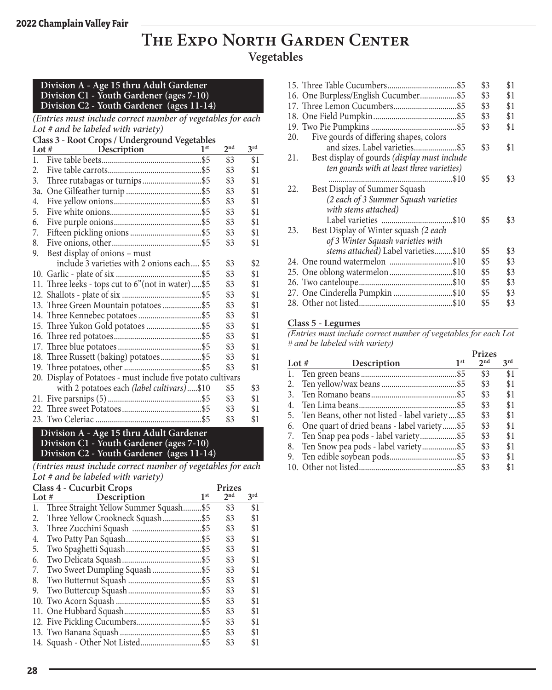### **The Expo North Garden Center Vegetables**

#### **Division A - Age 15 thru Adult Gardener Division C1 - Youth Gardener (ages 7-10) Division C2 - Youth Gardener (ages 11-14)**

*(Entries must include correct number of vegetables for each Lot # and be labeled with variety)*

| Class 3 - Root Crops / Underground Vegetables |                                                              |                 |                 |     |  |
|-----------------------------------------------|--------------------------------------------------------------|-----------------|-----------------|-----|--|
| Lot $#$                                       | Description                                                  | 1 <sup>st</sup> | 2 <sub>nd</sub> | 3rd |  |
| 1.                                            |                                                              |                 | \$3             | \$1 |  |
| 2.                                            |                                                              |                 | \$3             | \$1 |  |
| 3.                                            |                                                              |                 | \$3             | \$1 |  |
| 3a.                                           |                                                              |                 | \$3             | \$1 |  |
| 4.                                            |                                                              |                 | \$3             | \$1 |  |
| 5.                                            |                                                              |                 | \$3             | \$1 |  |
| 6.                                            |                                                              |                 | \$3             | \$1 |  |
| 7.                                            |                                                              |                 | \$3             | \$1 |  |
| 8.                                            |                                                              |                 | \$3             | \$1 |  |
| 9.                                            | Best display of onions - must                                |                 |                 |     |  |
|                                               | include 3 varieties with 2 onions each \$5                   |                 | \$3             | \$2 |  |
|                                               |                                                              |                 | \$3             | \$1 |  |
|                                               | 11. Three leeks - tops cut to 6"(not in water)\$5            |                 | \$3             | \$1 |  |
|                                               |                                                              |                 | \$3             | \$1 |  |
|                                               | 13. Three Green Mountain potatoes \$5                        |                 | \$3             | \$1 |  |
|                                               |                                                              |                 | \$3             | \$1 |  |
|                                               | 15. Three Yukon Gold potatoes \$5                            |                 | \$3             | \$1 |  |
|                                               |                                                              |                 | \$3             | \$1 |  |
|                                               |                                                              |                 | \$3             | \$1 |  |
|                                               | 18. Three Russett (baking) potatoes\$5                       |                 | \$3             | \$1 |  |
|                                               |                                                              |                 | \$3             | \$1 |  |
|                                               | 20. Display of Potatoes - must include five potato cultivars |                 |                 |     |  |
|                                               | with 2 potatoes each (label cultivars)\$10                   |                 | \$5             | \$3 |  |
|                                               |                                                              |                 | \$3             | \$1 |  |
|                                               |                                                              |                 | \$3             | \$1 |  |
|                                               |                                                              |                 | \$3             | \$1 |  |

#### **Division A - Age 15 thru Adult Gardener Division C1 - Youth Gardener (ages 7-10) Division C2 - Youth Gardener (ages 11-14)**

*(Entries must include correct number of vegetables for each Lot # and be labeled with variety)*

| Lot $#$ | Class 4 - Cucurbit Crops<br>Description | 1 <sup>st</sup> | Prizes<br>2 <sup>nd</sup> | 3 <sup>rd</sup> |
|---------|-----------------------------------------|-----------------|---------------------------|-----------------|
| 1.      | Three Straight Yellow Summer Squash\$5  |                 | \$3                       | \$1             |
| 2.      | Three Yellow Crookneck Squash           | \$5             | \$3                       | \$1             |
| 3.      |                                         |                 | \$3                       | \$1             |
| 4.      |                                         |                 | \$3                       | \$1             |
| 5.      |                                         |                 | \$3                       | \$1             |
| 6.      |                                         |                 | \$3                       | \$1             |
| 7.      |                                         |                 | \$3                       | \$1             |
| 8.      |                                         |                 | \$3                       | \$1             |
| 9.      |                                         |                 | \$3                       | \$1             |
|         |                                         |                 | \$3                       | \$1             |
|         |                                         |                 | \$3                       | \$1             |
|         |                                         |                 | \$3                       | \$1             |
|         |                                         |                 | \$3                       | \$1             |
|         |                                         |                 | \$3                       | \$1             |

|                                                     | \$3 | \$1 |
|-----------------------------------------------------|-----|-----|
| 16. One Burpless/English Cucumber\$5                | \$3 | \$1 |
|                                                     | \$3 | \$1 |
|                                                     | \$3 | \$1 |
|                                                     | \$3 | \$1 |
| Five gourds of differing shapes, colors<br>20.      |     |     |
| and sizes. Label varieties\$5                       | \$3 | \$1 |
| Best display of gourds (display must include<br>21. |     |     |
| ten gourds with at least three varieties)           |     |     |
| .\$10                                               | \$5 | \$3 |
| Best Display of Summer Squash<br>22.                |     |     |
| (2 each of 3 Summer Squash varieties                |     |     |
| with stems attached)                                |     |     |
|                                                     | \$5 | \$3 |
| Best Display of Winter squash (2 each<br>23.        |     |     |
| of 3 Winter Squash varieties with                   |     |     |
| stems attached) Label varieties\$10                 | \$5 | \$3 |
| 24. One round watermelon \$10                       | \$5 | \$3 |
| 25. One oblong watermelon\$10                       | \$5 | \$3 |
|                                                     | \$5 | \$3 |
| 27. One Cinderella Pumpkin \$10                     | \$5 | \$3 |
|                                                     | \$5 | \$3 |

#### **Class 5 - Legumes**

*(Entries must include correct number of vegetables for each Lot # and be labeled with variety)*  $\mathbf{p}$ .

|                        |                 | <b>Prizes</b>                                                                                                                                                                          |                 |
|------------------------|-----------------|----------------------------------------------------------------------------------------------------------------------------------------------------------------------------------------|-----------------|
| Lot $#$<br>Description | 1 <sup>st</sup> | 2 <sub>nd</sub>                                                                                                                                                                        | 3 <sup>rd</sup> |
|                        |                 | \$3                                                                                                                                                                                    | \$1             |
|                        |                 | \$3                                                                                                                                                                                    | \$1             |
|                        |                 | \$3                                                                                                                                                                                    | \$1             |
|                        |                 | \$3                                                                                                                                                                                    | \$1             |
|                        |                 | \$3                                                                                                                                                                                    | \$1             |
|                        |                 | \$3                                                                                                                                                                                    | \$1             |
|                        |                 | \$3                                                                                                                                                                                    | \$1             |
|                        |                 | \$3                                                                                                                                                                                    | \$1             |
|                        |                 | \$3                                                                                                                                                                                    | \$1             |
|                        |                 | \$3                                                                                                                                                                                    | \$1             |
|                        |                 | 5. Ten Beans, other not listed - label variety\$5<br>One quart of dried beans - label variety\$5<br>7. Ten Snap pea pods - label variety\$5<br>8. Ten Snow pea pods - label variety\$5 |                 |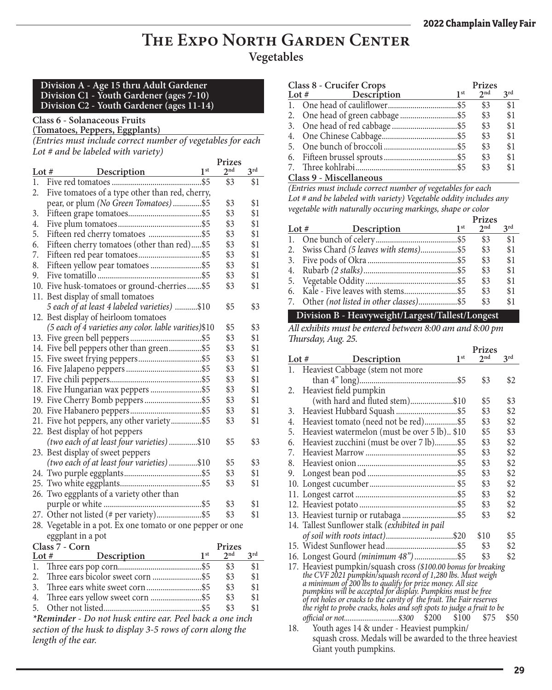### **The Expo North Garden Center Vegetables**

#### **Division A - Age 15 thru Adult Gardener Division C1 - Youth Gardener (ages 7-10) Division C2 - Youth Gardener (ages 11-14)**

#### **Class 6 - Solanaceous Fruits**

**(Tomatoes, Peppers, Eggplants)**

*(Entries must include correct number of vegetables for each Lot # and be labeled with variety)*

|          |                                                            | Prizes          |                 |
|----------|------------------------------------------------------------|-----------------|-----------------|
| Lot $#$  | 1 <sup>st</sup><br>Description                             | 2 <sub>nd</sub> | 3 <sup>rd</sup> |
| 1.       |                                                            | \$3             | \$1             |
| 2.       | Five tomatoes of a type other than red, cherry,            |                 |                 |
|          | pear, or plum (No Green Tomatoes)\$5                       | \$3             | \$1             |
| 3.       |                                                            | \$3             | \$1             |
| 4.       |                                                            | \$3             | \$1             |
| 5.       |                                                            | \$3             | \$1             |
| 6.       | Fifteen cherry tomatoes (other than red)\$5                | \$3             | \$1             |
| 7.       |                                                            | \$3             | \$1             |
| 8.       |                                                            | \$3             | \$1             |
| 9.       |                                                            | \$3             | \$1             |
|          | 10. Five husk-tomatoes or ground-cherries \$5              | \$3             | \$1             |
|          | 11. Best display of small tomatoes                         |                 |                 |
|          | 5 each of at least 4 labeled varieties) \$10               | \$5             | \$3             |
|          | 12. Best display of heirloom tomatoes                      |                 |                 |
|          | (5 each of 4 varieties any color. lable varities)\$10      | \$5             | \$3             |
|          |                                                            | \$3             | \$1             |
|          | 14. Five bell peppers other than green\$5                  | \$3             | \$1             |
|          |                                                            | \$3             | \$1             |
|          |                                                            | \$3             | \$1             |
|          |                                                            | \$3             | \$1             |
|          | 18. Five Hungarian wax peppers \$5                         | \$3             | \$1             |
|          |                                                            | \$3             | \$1             |
|          |                                                            | \$3             | \$1             |
|          | 21. Five hot peppers, any other variety\$5                 | \$3             | \$1             |
|          | 22. Best display of hot peppers                            |                 |                 |
|          | (two each of at least four varieties)\$10                  | \$5             | \$3             |
|          | 23. Best display of sweet peppers                          |                 |                 |
|          | (two each of at least four varieties)\$10                  | \$5             | \$3             |
|          |                                                            | \$3             | \$1             |
|          |                                                            | \$3             | \$1             |
|          | 26. Two eggplants of a variety other than                  |                 |                 |
|          |                                                            | \$3             | \$1             |
|          |                                                            | \$3             | \$1             |
|          | 28. Vegetable in a pot. Ex one tomato or one pepper or one |                 |                 |
|          | eggplant in a pot                                          |                 |                 |
|          | Class 7 - Corn                                             | Prizes          |                 |
| Lot $\#$ | 1 <sup>st</sup><br>Description                             | 2 <sub>nd</sub> | 2rd             |

| $Class / - Corn$                                         |     | <b>Prizes</b>   |     |
|----------------------------------------------------------|-----|-----------------|-----|
| Description<br>Lot $#$                                   | 1st | $2^{\text{nd}}$ | 2rd |
|                                                          |     | \$3             | \$1 |
|                                                          |     | \$3             | \$1 |
|                                                          |     | \$3             | \$1 |
|                                                          |     | \$3             | \$1 |
|                                                          |     | \$3             | \$1 |
| *Reminder - Do not husk entire ear. Peel back a one inch |     |                 |     |

*section of the husk to display 3-5 rows of corn along the length of the ear.*

|                   | Class 8 - Crucifer Crops            |                 |                 |     |
|-------------------|-------------------------------------|-----------------|-----------------|-----|
| Lot # Description |                                     | 1 <sup>st</sup> | 2 <sub>nd</sub> | 2rd |
|                   |                                     |                 | \$3             | \$1 |
|                   |                                     |                 | \$3             | \$1 |
|                   |                                     |                 | \$3             | \$1 |
|                   |                                     |                 | \$3             | \$1 |
|                   |                                     |                 | \$3             | \$1 |
|                   |                                     |                 | \$3             | \$1 |
|                   |                                     |                 | \$3             | \$1 |
|                   | $C1 \ldots Q$ $M! \ldots 11 \ldots$ |                 |                 |     |

#### **Class 9 - Miscellaneous**

*(Entries must include correct number of vegetables for each Lot # and be labeled with variety) Vegetable oddity includes any vegetable with naturally occuring markings, shape or color*

|         |                                        |                 | Prizes          |     |
|---------|----------------------------------------|-----------------|-----------------|-----|
| Lot $#$ | Description                            | 1 <sup>st</sup> | 2 <sub>nd</sub> | 2rd |
| -1.     |                                        |                 | \$3             | \$1 |
| 2.      | Swiss Chard (5 leaves with stems)\$5   |                 | \$3             | \$1 |
|         |                                        |                 | \$3             | \$1 |
| 4.      |                                        |                 | \$3             | \$1 |
| 5.      |                                        |                 | \$3             | \$1 |
|         |                                        |                 | \$3             | \$1 |
| 7.      | Other (not listed in other classes)\$5 |                 | \$3             | \$1 |

#### **Division B - Heavyweight/Largest/Tallest/Longest**

*All exhibits must be entered between 8:00 am and 8:00 pm Thursday, Aug. 25.* **Prizes**

|         |                                                                                                                                                                                                                                                                                                                                                                       |                 | <b>Prizes</b>   |                 |
|---------|-----------------------------------------------------------------------------------------------------------------------------------------------------------------------------------------------------------------------------------------------------------------------------------------------------------------------------------------------------------------------|-----------------|-----------------|-----------------|
| Lot $#$ | Description                                                                                                                                                                                                                                                                                                                                                           | 1 <sup>st</sup> | $2^{\text{nd}}$ | 3 <sup>rd</sup> |
|         | 1. Heaviest Cabbage (stem not more                                                                                                                                                                                                                                                                                                                                    |                 |                 |                 |
|         |                                                                                                                                                                                                                                                                                                                                                                       |                 | \$3             | \$2             |
| 2.      | Heaviest field pumpkin                                                                                                                                                                                                                                                                                                                                                |                 |                 |                 |
|         | (with hard and fluted stem)\$10                                                                                                                                                                                                                                                                                                                                       |                 | \$5             | \$3             |
| 3.      |                                                                                                                                                                                                                                                                                                                                                                       |                 | \$3             | \$2             |
| 4.      | Heaviest tomato (need not be red)\$5                                                                                                                                                                                                                                                                                                                                  |                 | \$3             | \$2             |
| 5.      | Heaviest watermelon (must be over 5 lb) \$10                                                                                                                                                                                                                                                                                                                          |                 | \$5             | \$3             |
| 6.      | Heaviest zucchini (must be over 7 lb)\$5                                                                                                                                                                                                                                                                                                                              |                 | \$3             | \$2             |
| 7.      |                                                                                                                                                                                                                                                                                                                                                                       |                 | \$3             | \$2             |
| 8.      |                                                                                                                                                                                                                                                                                                                                                                       |                 | \$3             | \$2             |
| 9.      |                                                                                                                                                                                                                                                                                                                                                                       |                 | \$3             | \$2             |
| 10.     |                                                                                                                                                                                                                                                                                                                                                                       |                 | \$3             | \$2             |
|         |                                                                                                                                                                                                                                                                                                                                                                       |                 | \$3             | \$2             |
|         |                                                                                                                                                                                                                                                                                                                                                                       |                 | \$3             | \$2             |
|         | 13. Heaviest turnip or rutabaga\$5                                                                                                                                                                                                                                                                                                                                    |                 | \$3             | \$2             |
|         | 14. Tallest Sunflower stalk (exhibited in pail                                                                                                                                                                                                                                                                                                                        |                 |                 |                 |
|         |                                                                                                                                                                                                                                                                                                                                                                       |                 | \$10            | \$5             |
|         |                                                                                                                                                                                                                                                                                                                                                                       |                 | \$3             | \$2             |
|         |                                                                                                                                                                                                                                                                                                                                                                       |                 | \$3             | \$2             |
|         | 17. Heaviest pumpkin/squash cross (\$100.00 bonus for breaking the CVF 2021 pumpkin/squash record of 1,280 lbs. Must weigh<br>a minimum of 200 lbs to qualify for prize money. All size<br>pumpkins will be accepted for display. Pumpkins must be free<br>of rot holes or cracks to the cavity of the fruit. The Fair reserves<br>the right to probe cracks, holes a |                 |                 |                 |
|         |                                                                                                                                                                                                                                                                                                                                                                       |                 |                 |                 |
|         | official or not \$300<br>\$200                                                                                                                                                                                                                                                                                                                                        | \$100           | \$75            | \$50            |
| 18.     | Youth ages 14 & under - Heaviest pumpkin/                                                                                                                                                                                                                                                                                                                             |                 |                 |                 |
|         | squash cross. Medals will be awarded to the three heaviest                                                                                                                                                                                                                                                                                                            |                 |                 |                 |
|         | Giant youth pumpkins.                                                                                                                                                                                                                                                                                                                                                 |                 |                 |                 |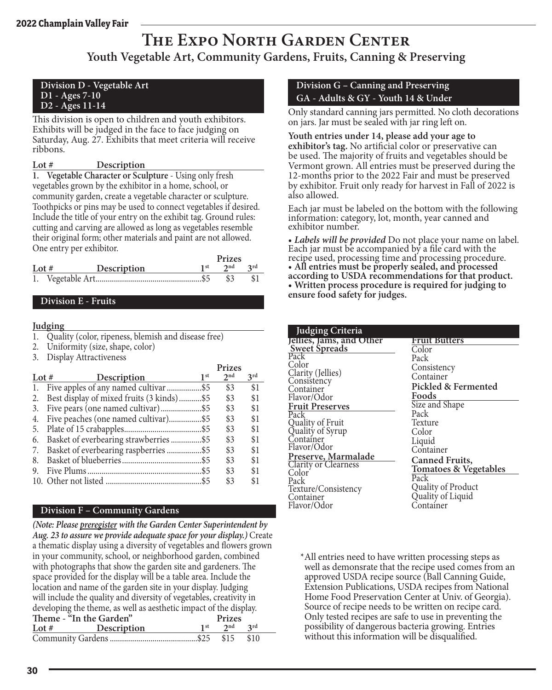### **The Expo North Garden Center Youth Vegetable Art, Community Gardens, Fruits, Canning & Preserving**

#### **Division D - Vegetable Art D1 - Ages 7-10 D2 - Ages 11-14**

This division is open to children and youth exhibitors. Exhibits will be judged in the face to face judging on Saturday, Aug. 27. Exhibits that meet criteria will receive ribbons.

**1. Vegetable Character or Sculpture** - Using only fresh vegetables grown by the exhibitor in a home, school, or community garden, create a vegetable character or sculpture. Toothpicks or pins may be used to connect vegetables if desired. Include the title of your entry on the exhibit tag. Ground rules: cutting and carving are allowed as long as vegetables resemble their original form; other materials and paint are not allowed. One entry per exhibitor.

|         |             | Prizes   |     |
|---------|-------------|----------|-----|
| Lot $#$ | Description | $2^{nd}$ | 2rd |
|         |             | -83      |     |

#### **Division E - Fruits**

#### **Judging**

- 1. Quality (color, ripeness, blemish and disease free)
- 2. Uniformity (size, shape, color)
- 3. Display Attractiveness

|         |                                           |                 | Prizes          |                 |
|---------|-------------------------------------------|-----------------|-----------------|-----------------|
| Lot $#$ | Description                               | 1 <sup>st</sup> | 2 <sub>nd</sub> | 3 <sup>rd</sup> |
| 1.      | Five apples of any named cultivar \$5     |                 | \$3             | \$1             |
| 2.      | Best display of mixed fruits (3 kinds)\$5 |                 | \$3             | \$1             |
| 3.      |                                           |                 | \$3             | \$1             |
| 4.      | Five peaches (one named cultivar)\$5      |                 | \$3             | \$1             |
| 5.      |                                           |                 | \$3             | \$1             |
| 6.      | Basket of everbearing strawberries  \$5   |                 | \$3             | \$1             |
| 7.      | Basket of everbearing raspberries\$5      |                 | \$3             | \$1             |
| 8.      |                                           |                 | \$3             | \$1             |
| 9.      |                                           |                 | \$3             | \$1             |
|         |                                           |                 | \$3             | \$1             |

#### **Division F – Community Gardens**

*(Note: Please preregister with the Garden Center Superintendent by Aug. 23 to assure we provide adequate space for your display.)* Create a thematic display using a diversity of vegetables and flowers grown in your community, school, or neighborhood garden, combined with photographs that show the garden site and gardeners. The space provided for the display will be a table area. Include the location and name of the garden site in your display. Judging will include the quality and diversity of vegetables, creativity in developing the theme, as well as aesthetic impact of the display. Theme - "In the Garden" **Prizes**<br>
Lot # Description 1<sup>st</sup> 2<sup>nd</sup> **Lot # Description 1st 2nd 3rd** Community Gardens...........................................\$25 \$15 \$10

#### **Division G – Canning and Preserving GA - Adults & GY - Youth 14 & Under**

Only standard canning jars permitted. No cloth decorations on jars. Jar must be sealed with jar ring left on.

**Youth entries under 14, please add your age to exhibitor's tag.** No artificial color or preservative can be used. The majority of fruits and vegetables should be Vermont grown. All entries must be preserved during the 12-months prior to the 2022 Fair and must be preserved by exhibitor. Fruit only ready for harvest in Fall of 2022 is also allowed.

Each jar must be labeled on the bottom with the following information: category, lot, month, year canned and exhibitor number.

• *Labels will be provided* Do not place your name on label. Each jar must be accompanied by a file card with the recipe used, processing time and processing procedure. • **All entries must be properly sealed, and processed according to USDA recommendations for that product. • Written process procedure is required for judging to ensure food safety for judges.**

| <b>Judging Criteria</b>                           |                                         |
|---------------------------------------------------|-----------------------------------------|
| Jellies, Jams, and Other                          | Fruit Butters                           |
| <b>Sweet Spreads</b>                              | Color                                   |
| Pack                                              | Pack                                    |
| Color                                             | Consistency                             |
| Clarity (Jellies)                                 | Container                               |
| Consistency                                       | Pickled & Fermented                     |
| Container                                         |                                         |
| Flavor/Odor                                       | Foods                                   |
| <b>Fruit Preserves</b>                            | Size and Shape                          |
| Pack                                              | Pack                                    |
|                                                   | Texture                                 |
| Quality of Fruit<br>Quality of Syrup<br>Container | Color                                   |
|                                                   | Liquid                                  |
| Flavor/Odor                                       | Container                               |
| Preserve, Marmalade                               | <b>Canned Fruits,</b>                   |
| <b>Clarity or Clearness</b>                       | <b>Tomatoes &amp; Vegetables</b>        |
| Color <sup>®</sup>                                | Pack                                    |
| Pack                                              |                                         |
| Texture/Consistency                               | Quality of Product<br>Quality of Liquid |
| Container                                         |                                         |
| Flavor/Odor                                       | Container                               |
|                                                   |                                         |

\*All entries need to have written processing steps as well as demonsrate that the recipe used comes from an approved USDA recipe source (Ball Canning Guide, Extension Publications, USDA recipes from National Home Food Preservation Center at Univ. of Georgia). Source of recipe needs to be written on recipe card. Only tested recipes are safe to use in preventing the possibility of dangerous bacteria growing. Entries without this information will be disqualified.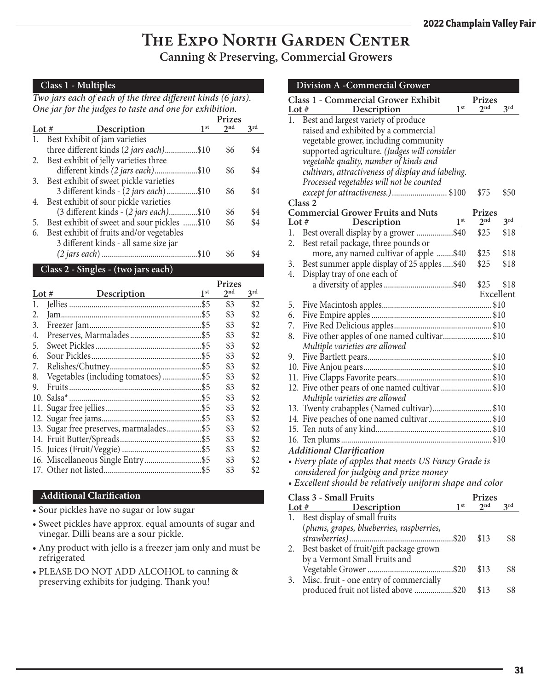### **The Expo North Garden Center Canning & Preserving, Commercial Growers**

#### **Class 1 - Multiples**

*Two jars each of each of the three different kinds (6 jars). One jar for the judges to taste and one for exhibition.*

|         |                                             | <b>Prizes</b> |     |
|---------|---------------------------------------------|---------------|-----|
| Lot $#$ | 1 <sup>st</sup><br>Description              | 2nd           | 2rd |
| 1.      | Best Exhibit of jam varieties               |               |     |
|         | three different kinds (2 jars each)\$10     | \$6           | \$4 |
|         | 2. Best exhibit of jelly varieties three    |               |     |
|         | different kinds (2 jars each)\$10           | \$6           | \$4 |
|         | 3. Best exhibit of sweet pickle varieties   |               |     |
|         | 3 different kinds - (2 jars each)\$10       | \$6           | \$4 |
|         | 4. Best exhibit of sour pickle varieties    |               |     |
|         | (3 different kinds - (2 jars each)\$10      | \$6           | \$4 |
| 5.      | Best exhibit of sweet and sour pickles \$10 | \$6           | \$4 |
| 6.      | Best exhibit of fruits and/or vegetables    |               |     |
|         | 3 different kinds - all same size jar       |               |     |
|         |                                             |               |     |

#### **Class 2 - Singles - (two jars each)**

|         |                                         | Prizes          |                 |
|---------|-----------------------------------------|-----------------|-----------------|
| Lot $#$ | 1 <sup>st</sup><br>Description          | 2 <sup>nd</sup> | 3 <sup>rd</sup> |
| 1.      |                                         | \$3             | \$2             |
| 2.      |                                         | \$3             | \$2             |
| 3.      |                                         | \$3             | \$2             |
| 4.      |                                         | \$3             | \$2             |
| 5.      |                                         | \$3             | \$2             |
| 6.      |                                         | \$3             | \$2             |
| 7.      |                                         | \$3             | \$2             |
| 8.      | Vegetables (including tomatoes) \$5     | \$3             | \$2             |
| 9.      |                                         | \$3             | \$2             |
|         |                                         | \$3             | \$2             |
|         |                                         | \$3             | \$2             |
|         |                                         | \$3             | \$2             |
|         | 13. Sugar free preserves, marmalades\$5 | \$3             | \$2             |
|         |                                         | \$3             | \$2             |
|         |                                         | \$3             | \$2             |
|         |                                         | \$3             | \$2             |
|         |                                         | \$3             | \$2             |

#### **Additional Clarification**

- Sour pickles have no sugar or low sugar
- Sweet pickles have approx. equal amounts of sugar and vinegar. Dilli beans are a sour pickle.
- Any product with jello is a freezer jam only and must be refrigerated
- PLEASE DO NOT ADD ALCOHOL to canning & preserving exhibits for judging. Thank you!

|                  | <b>Division A -Commercial Grower</b>                 |                 |                 |
|------------------|------------------------------------------------------|-----------------|-----------------|
|                  | Class 1 - Commercial Grower Exhibit                  | <b>Prizes</b>   |                 |
| Lot $#$          | 1 <sup>st</sup><br>Description                       | 2 <sup>nd</sup> | 3 <sup>rd</sup> |
| 1.               | Best and largest variety of produce                  |                 |                 |
|                  | raised and exhibited by a commercial                 |                 |                 |
|                  | vegetable grower, including community                |                 |                 |
|                  | supported agriculture. (Judges will consider         |                 |                 |
|                  | vegetable quality, number of kinds and               |                 |                 |
|                  | cultivars, attractiveness of display and labeling.   |                 |                 |
|                  | Processed vegetables will not be counted             |                 |                 |
|                  | except for attractiveness.) \$100                    | \$75            | \$50            |
|                  | Class 2                                              |                 |                 |
|                  | <b>Commercial Grower Fruits and Nuts</b>             | <b>Prizes</b>   |                 |
| Lot $#$          | 1 <sup>st</sup><br>Description                       | 2 <sub>nd</sub> | 3 <sup>rd</sup> |
| 1.               | Example 1st<br>Best overall display by a grower \$40 | \$25            | \$18            |
| 2.               | Best retail package, three pounds or                 |                 |                 |
|                  | more, any named cultivar of apple \$40               | \$25            | \$18            |
| 3.               | Best summer apple display of 25 apples  \$40         | \$25            | \$18            |
| $\overline{4}$ . | Display tray of one each of                          |                 |                 |
|                  |                                                      | \$25            | \$18            |
|                  |                                                      | Excellent       |                 |
| 5.               |                                                      |                 |                 |
| 6.               |                                                      |                 |                 |
| 7.               |                                                      |                 |                 |
| 8.               | Five other apples of one named cultivar\$10          |                 |                 |
|                  | Multiple varieties are allowed                       |                 |                 |
| 9.               |                                                      |                 |                 |
|                  |                                                      |                 |                 |
|                  |                                                      |                 |                 |
|                  | 12. Five other pears of one named cultivar \$10      |                 |                 |
|                  | Multiple varieties are allowed                       |                 |                 |
|                  | 13. Twenty crabapples (Named cultivar)\$10           |                 |                 |
|                  | 14. Five peaches of one named cultivar \$10          |                 |                 |
|                  |                                                      |                 |                 |
|                  |                                                      |                 |                 |
|                  | <b>Additional Clarification</b>                      |                 |                 |
|                  | • Every plate of apples that meets US Fancy Grade is |                 |                 |

- *Every plate of apples that meets US Fancy Grade is considered for judging and prize money*
- *Excellent should be relatively uniform shape and color*

| Class 3 - Small Fruits |                                           |                 | <b>Prizes</b>   |     |
|------------------------|-------------------------------------------|-----------------|-----------------|-----|
| Lot $#$                | Description                               | 1 <sup>st</sup> | 2 <sub>nd</sub> | 2rd |
| 1.                     | Best display of small fruits              |                 |                 |     |
|                        | (plums, grapes, blueberries, raspberries, |                 |                 |     |
|                        |                                           |                 | \$13            | \$8 |
| 2.                     | Best basket of fruit/gift package grown   |                 |                 |     |
|                        | by a Vermont Small Fruits and             |                 |                 |     |
|                        |                                           |                 | \$13            | \$8 |
| 3.                     | Misc. fruit - one entry of commercially   |                 |                 |     |
|                        | produced fruit not listed above \$20      |                 | \$13            | 88  |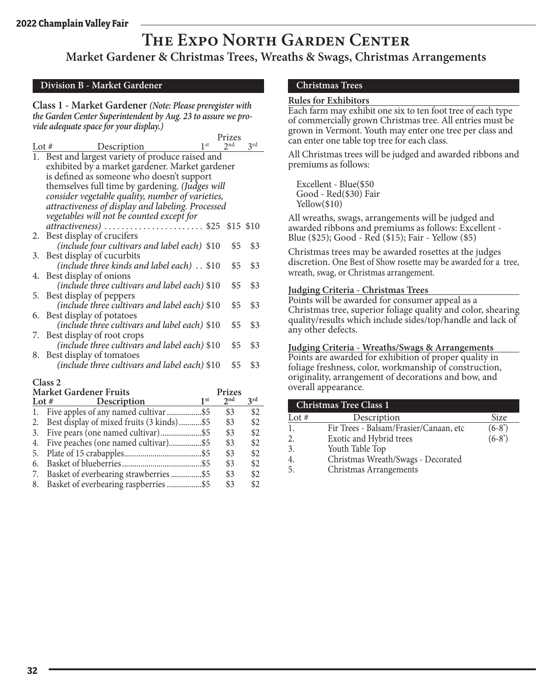### **The Expo North Garden Center**

**Market Gardener & Christmas Trees, Wreaths & Swags, Christmas Arrangements**

#### **Division B - Market Gardener**

**Class 1 - Market Gardener** *(Note: Please preregister with the Garden Center Superintendent by Aug. 23 to assure we provide adequate space for your display.)*

|                                                      |                 | Prizes          |                 |
|------------------------------------------------------|-----------------|-----------------|-----------------|
| <b>Description</b><br>Lot $#$                        | 1 <sup>st</sup> | 2 <sup>nd</sup> | 3 <sup>rd</sup> |
| Best and largest variety of produce raised and<br>1. |                 |                 |                 |
| exhibited by a market gardener. Market gardener      |                 |                 |                 |
| is defined as someone who doesn't support            |                 |                 |                 |
| themselves full time by gardening. (Judges will      |                 |                 |                 |
| consider vegetable quality, number of varieties,     |                 |                 |                 |
| attractiveness of display and labeling. Processed    |                 |                 |                 |
| vegetables will not be counted except for            |                 |                 |                 |
| attractiveness)  \$25 \$15 \$10                      |                 |                 |                 |
| Best display of crucifers<br>2.                      |                 |                 |                 |
| (include four cultivars and label each) \$10         |                 | \$5             | \$3             |
| Best display of cucurbits<br>3.                      |                 |                 |                 |
| (include three kinds and label each). \$10           |                 | \$5             | \$3             |
| 4. Best display of onions                            |                 |                 |                 |
| (include three cultivars and label each) \$10        |                 | \$5             | \$3             |
| Best display of peppers<br>5.                        |                 |                 |                 |
| (include three cultivars and label each) \$10        |                 | \$5             | \$3             |
| Best display of potatoes<br>6.                       |                 |                 |                 |
| (include three cultivars and label each) \$10        |                 | \$5             | \$3             |
| Best display of root crops<br>7.                     |                 |                 |                 |
| (include three cultivars and label each) \$10        |                 | \$5             | \$3             |
| Best display of tomatoes<br>8.                       |                 |                 |                 |
| (include three cultivars and label each) \$10        |                 | \$5             | \$3             |
| Class 2                                              |                 |                 |                 |

|    | <b>Market Gardener Fruits</b>                |                 | Prizes          |     |
|----|----------------------------------------------|-----------------|-----------------|-----|
|    | Lot # Description                            | 1 <sup>st</sup> | $2^{\text{nd}}$ | 2rd |
| 1. | Five apples of any named cultivar \$5        |                 | \$3             | \$2 |
|    | 2. Best display of mixed fruits (3 kinds)\$5 |                 | \$3             | \$2 |
|    |                                              |                 | \$3             | \$2 |
|    | 4. Five peaches (one named cultivar)\$5      |                 | \$3             | \$2 |
|    |                                              |                 | \$3             | \$2 |
| 6. |                                              |                 | \$3             | \$2 |
| 7. | Basket of everbearing strawberries\$5        |                 | \$3             | \$2 |
| 8. | Basket of everbearing raspberries \$5        |                 | \$3             | \$2 |

#### **Christmas Trees**

#### **Rules for Exhibitors**

Each farm may exhibit one six to ten foot tree of each type of commercially grown Christmas tree. All entries must be grown in Vermont. Youth may enter one tree per class and can enter one table top tree for each class.

All Christmas trees will be judged and awarded ribbons and premiums as follows:

Excellent - Blue(\$50 Good - Red(\$30) Fair Yellow(\$10)

All wreaths, swags, arrangements will be judged and awarded ribbons and premiums as follows: Excellent - Blue (\$25); Good - Red (\$15); Fair - Yellow (\$5)

Christmas trees may be awarded rosettes at the judges discretion. One Best of Show rosette may be awarded for a tree, wreath, swag, or Christmas arrangement.

#### **Judging Criteria - Christmas Trees**

Points will be awarded for consumer appeal as a Christmas tree, superior foliage quality and color, shearing quality/results which include sides/top/handle and lack of any other defects.

#### **Judging Criteria - Wreaths/Swags & Arrangements**

Points are awarded for exhibition of proper quality in foliage freshness, color, workmanship of construction, originality, arrangement of decorations and bow, and overall appearance.

| <b>Christmas Tree Class 1</b> |                                        |         |  |  |  |
|-------------------------------|----------------------------------------|---------|--|--|--|
| Lot $#$                       | Description                            | Size    |  |  |  |
|                               | Fir Trees - Balsam/Frasier/Canaan, etc | $(6-8)$ |  |  |  |
| 2.                            | Exotic and Hybrid trees                | $(6-8)$ |  |  |  |
| 3                             | Youth Table Top                        |         |  |  |  |
|                               | Christmas Wreath/Swags - Decorated     |         |  |  |  |
|                               | Christmas Arrangements                 |         |  |  |  |